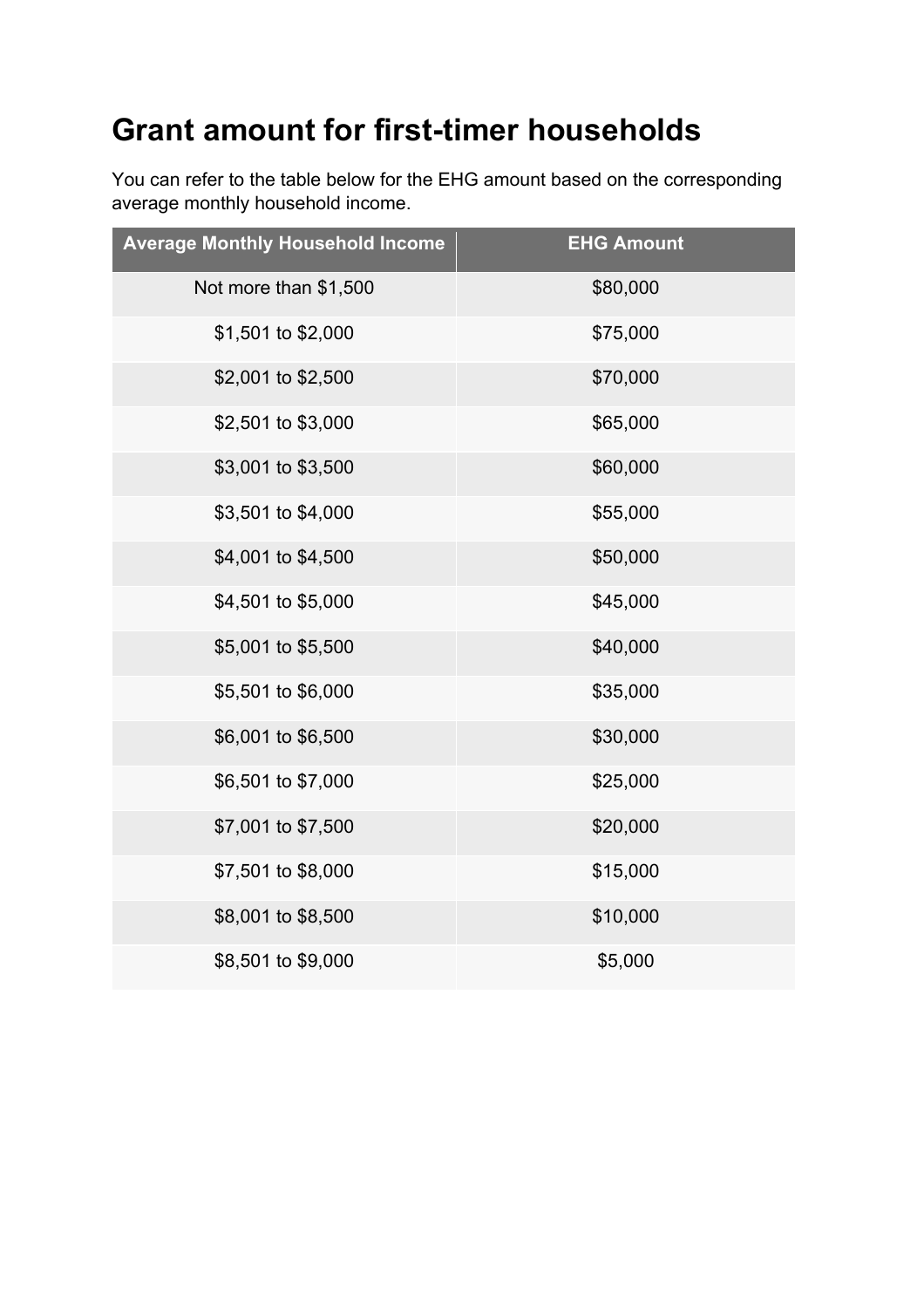## **Grant amount for first-timer households**

You can refer to the table below for the EHG amount based on the corresponding average monthly household income.

| <b>Average Monthly Household Income</b> | <b>EHG Amount</b> |
|-----------------------------------------|-------------------|
| Not more than \$1,500                   | \$80,000          |
| \$1,501 to \$2,000                      | \$75,000          |
| \$2,001 to \$2,500                      | \$70,000          |
| \$2,501 to \$3,000                      | \$65,000          |
| \$3,001 to \$3,500                      | \$60,000          |
| \$3,501 to \$4,000                      | \$55,000          |
| \$4,001 to \$4,500                      | \$50,000          |
| \$4,501 to \$5,000                      | \$45,000          |
| \$5,001 to \$5,500                      | \$40,000          |
| \$5,501 to \$6,000                      | \$35,000          |
| \$6,001 to \$6,500                      | \$30,000          |
| \$6,501 to \$7,000                      | \$25,000          |
| \$7,001 to \$7,500                      | \$20,000          |
| \$7,501 to \$8,000                      | \$15,000          |
| \$8,001 to \$8,500                      | \$10,000          |
| \$8,501 to \$9,000                      | \$5,000           |